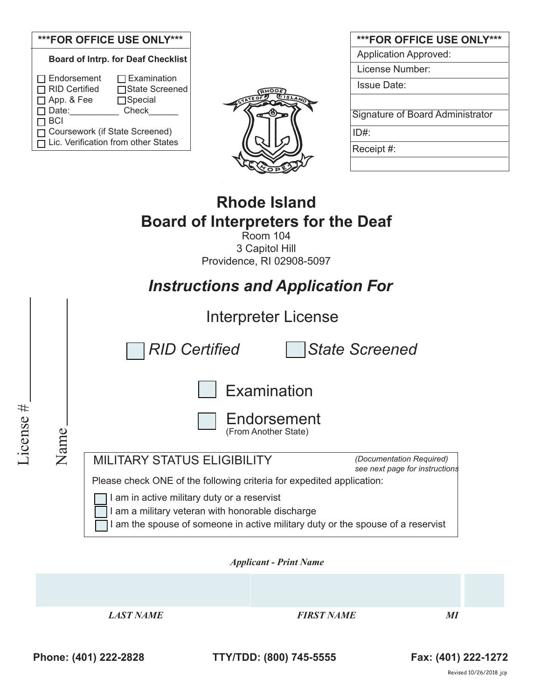## **\*\*\*FOR OFFICE USE ONLY\*\*\***

|                                                                                       | <b>Board of Intrp. for Deaf Checklist</b>                        |
|---------------------------------------------------------------------------------------|------------------------------------------------------------------|
| $\Box$ Endorsement<br>RID Certified<br>□ App. & Fee<br>$\Box$ Date:                   | $\Box$ Examination<br>□State Screened<br>$\Box$ Special<br>Check |
| $\Box$ BCI<br>Coursework (if State Screened)<br>□ Lic. Verification from other States |                                                                  |



| ***FOR OFFICE USE ONLY***        |
|----------------------------------|
| <b>Application Approved:</b>     |
| License Number:                  |
| <b>Issue Date:</b>               |
|                                  |
| Signature of Board Administrator |
| ID#:                             |
| Receipt #:                       |
|                                  |

# **Rhode Island Board of Interpreters for the Deaf**

Room 104 3 Capitol Hill Providence, RI 02908-5097

|              | <b>Instructions and Application For</b>                               |                                                                                                                                                                                |  |  |  |
|--------------|-----------------------------------------------------------------------|--------------------------------------------------------------------------------------------------------------------------------------------------------------------------------|--|--|--|
|              |                                                                       | Interpreter License                                                                                                                                                            |  |  |  |
|              |                                                                       | <b>RID Certified</b><br><b>State Screened</b>                                                                                                                                  |  |  |  |
| #<br>License | Name                                                                  | Examination<br>Endorsement<br>(From Another State)                                                                                                                             |  |  |  |
|              |                                                                       | <b>MILITARY STATUS ELIGIBILITY</b><br>(Documentation Required)<br>see next page for instructions                                                                               |  |  |  |
|              | Please check ONE of the following criteria for expedited application: |                                                                                                                                                                                |  |  |  |
|              |                                                                       | I am in active military duty or a reservist<br>am a military veteran with honorable discharge<br>am the spouse of someone in active military duty or the spouse of a reservist |  |  |  |

*Applicant - Print Name* 

*LAST NAME* FIRST NAME MI

**Phone: (401) 222-2828 TTY/TDD: (800) 745-5555 Fax: (401) 222-1272**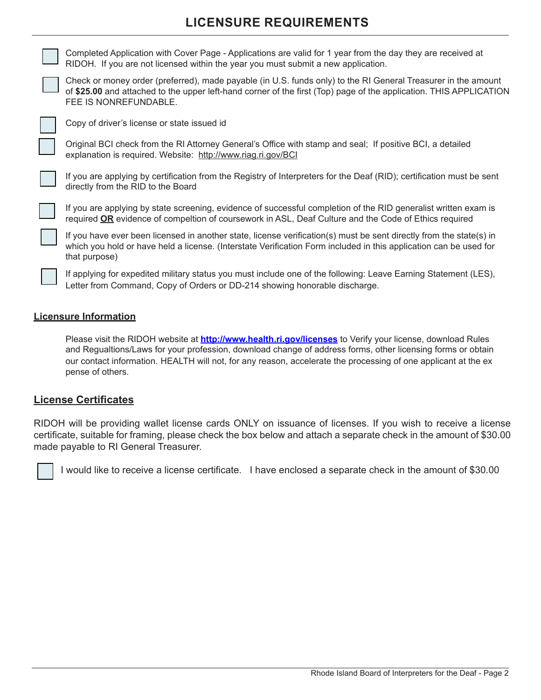# **LICENSURE REQUIREMENTS**

Completed Application with Cover Page - Applications are valid for 1 year from the day they are received at RIDOH. If you are not licensed within the year you must submit a new application.



Check or money order (preferred), made payable (in U.S. funds only) to the RI General Treasurer in the amount of **\$25.00** and attached to the upper left-hand corner of the first (Top) page of the application. THIS APPLICATION FEE IS NONREFUNDABLE.



Copy of driver's license or state issued id

Original BCI check from the RI Attorney General's Office with stamp and seal; If positive BCI, a detailed explanation is required. Website: http://www.riag.ri.gov/BCI



If you are applying by certification from the Registry of Interpreters for the Deaf (RID); certification must be sent directly from the RID to the Board

If you are applying by state screening, evidence of successful completion of the RID generalist written exam is required **OR** evidence of compeltion of coursework in ASL, Deaf Culture and the Code of Ethics required

If you have ever been licensed in another state, license verification(s) must be sent directly from the state(s) in which you hold or have held a license. (Interstate Verification Form included in this application can be used for that purpose)

If applying for expedited military status you must include one of the following: Leave Earning Statement (LES), Letter from Command, Copy of Orders or DD-214 showing honorable discharge.

#### **Licensure Information**

Please visit the RIDOH website at **http://www.health.ri.gov/licenses** to Verify your license, download Rules and Regualtions/Laws for your profession, download change of address forms, other licensing forms or obtain our contact information. HEALTH will not, for any reason, accelerate the processing of one applicant at the ex pense of others.

### **License Certificates**

RIDOH will be providing wallet license cards ONLY on issuance of licenses. If you wish to receive a license certificate, suitable for framing, please check the box below and attach a separate check in the amount of \$30.00 made payable to RI General Treasurer.

I would like to receive a license certificate. I have enclosed a separate check in the amount of \$30.00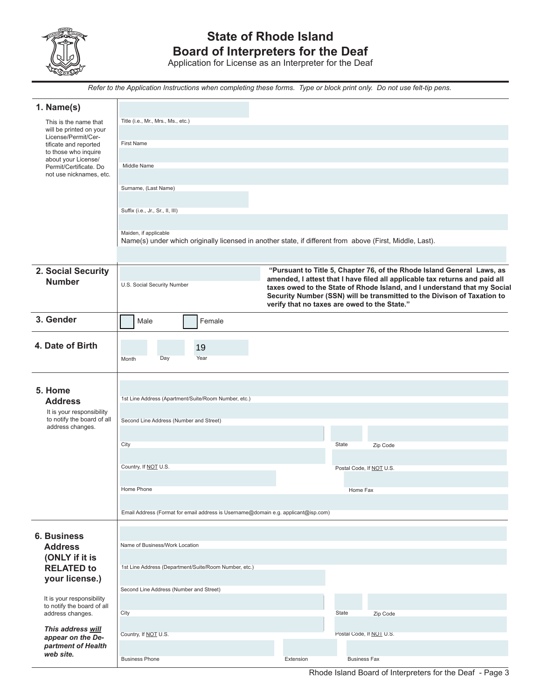

# **State of Rhode Island Board of Interpreters for the Deaf**

Application for License as an Interpreter for the Deaf

*Refer to the Application Instructions when completing these forms. Type or block print only. Do not use felt-tip pens.*

| 1. Name(s)                                              |                                                                                                                                                       |           |                                                                                                                                                     |  |
|---------------------------------------------------------|-------------------------------------------------------------------------------------------------------------------------------------------------------|-----------|-----------------------------------------------------------------------------------------------------------------------------------------------------|--|
| This is the name that<br>will be printed on your        | Title (i.e., Mr., Mrs., Ms., etc.)                                                                                                                    |           |                                                                                                                                                     |  |
| License/Permit/Cer-<br>tificate and reported            | <b>First Name</b>                                                                                                                                     |           |                                                                                                                                                     |  |
| to those who inquire<br>about your License/             |                                                                                                                                                       |           |                                                                                                                                                     |  |
| Permit/Certificate. Do<br>not use nicknames, etc.       | Middle Name                                                                                                                                           |           |                                                                                                                                                     |  |
|                                                         | Surname, (Last Name)                                                                                                                                  |           |                                                                                                                                                     |  |
|                                                         |                                                                                                                                                       |           |                                                                                                                                                     |  |
|                                                         | Suffix (i.e., Jr., Sr., II, III)                                                                                                                      |           |                                                                                                                                                     |  |
|                                                         | Maiden, if applicable                                                                                                                                 |           |                                                                                                                                                     |  |
|                                                         | Name(s) under which originally licensed in another state, if different from above (First, Middle, Last).                                              |           |                                                                                                                                                     |  |
|                                                         |                                                                                                                                                       |           |                                                                                                                                                     |  |
| 2. Social Security                                      | "Pursuant to Title 5, Chapter 76, of the Rhode Island General Laws, as<br>amended, I attest that I have filed all applicable tax returns and paid all |           |                                                                                                                                                     |  |
| <b>Number</b>                                           | U.S. Social Security Number                                                                                                                           |           | taxes owed to the State of Rhode Island, and I understand that my Social<br>Security Number (SSN) will be transmitted to the Divison of Taxation to |  |
|                                                         |                                                                                                                                                       |           | verify that no taxes are owed to the State."                                                                                                        |  |
| 3. Gender                                               | Female<br>Male                                                                                                                                        |           |                                                                                                                                                     |  |
|                                                         |                                                                                                                                                       |           |                                                                                                                                                     |  |
| 4. Date of Birth                                        | 19<br>Day<br>Year                                                                                                                                     |           |                                                                                                                                                     |  |
|                                                         | Month                                                                                                                                                 |           |                                                                                                                                                     |  |
|                                                         |                                                                                                                                                       |           |                                                                                                                                                     |  |
| 5. Home<br><b>Address</b>                               | 1st Line Address (Apartment/Suite/Room Number, etc.)                                                                                                  |           |                                                                                                                                                     |  |
| It is your responsibility<br>to notify the board of all |                                                                                                                                                       |           |                                                                                                                                                     |  |
| address changes.                                        | Second Line Address (Number and Street)                                                                                                               |           |                                                                                                                                                     |  |
|                                                         | City                                                                                                                                                  |           | State<br>Zip Code                                                                                                                                   |  |
|                                                         |                                                                                                                                                       |           |                                                                                                                                                     |  |
|                                                         | Country, If NOT U.S.                                                                                                                                  |           | Postal Code, If NOT U.S.                                                                                                                            |  |
|                                                         | Home Phone                                                                                                                                            |           | Home Fax                                                                                                                                            |  |
|                                                         |                                                                                                                                                       |           |                                                                                                                                                     |  |
|                                                         | Email Address (Format for email address is Username@domain e.g. applicant@isp.com)                                                                    |           |                                                                                                                                                     |  |
| <b>6. Business</b>                                      |                                                                                                                                                       |           |                                                                                                                                                     |  |
| <b>Address</b>                                          | Name of Business/Work Location                                                                                                                        |           |                                                                                                                                                     |  |
| (ONLY if it is<br><b>RELATED to</b>                     | 1st Line Address (Department/Suite/Room Number, etc.)                                                                                                 |           |                                                                                                                                                     |  |
| your license.)                                          |                                                                                                                                                       |           |                                                                                                                                                     |  |
| It is your responsibility                               | Second Line Address (Number and Street)                                                                                                               |           |                                                                                                                                                     |  |
| to notify the board of all<br>address changes.          | City                                                                                                                                                  |           | State<br>Zip Code                                                                                                                                   |  |
| This address will                                       |                                                                                                                                                       |           |                                                                                                                                                     |  |
| appear on the De-                                       | Country, If NOT U.S.                                                                                                                                  |           | Postal Code, If NO LU.S.                                                                                                                            |  |
| partment of Health<br>web site.                         | <b>Business Phone</b>                                                                                                                                 | Extension | <b>Business Fax</b>                                                                                                                                 |  |
|                                                         |                                                                                                                                                       |           |                                                                                                                                                     |  |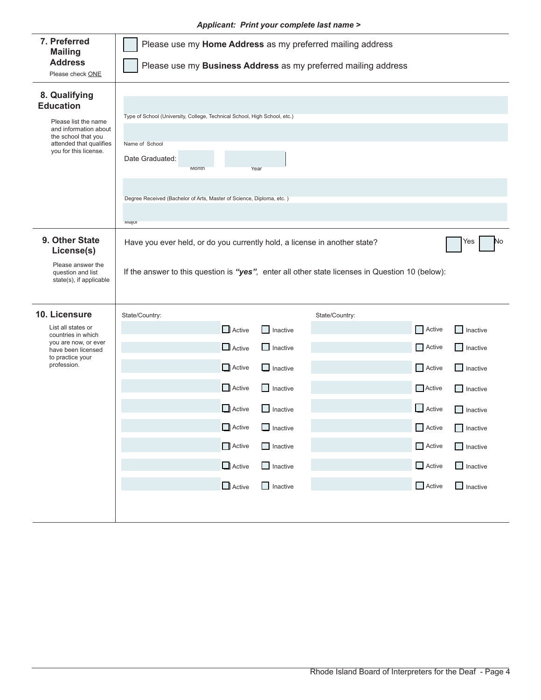#### *Applicant: Print your complete last name >*

| 7. Preferred<br><b>Mailing</b><br><b>Address</b><br>Please check ONE                                                                                          | Please use my Home Address as my preferred mailing address<br>Please use my Business Address as my preferred mailing address                                                                                            |                                                                                                                                                                                    |                                                                                                                                                                                                                                                                                        |  |
|---------------------------------------------------------------------------------------------------------------------------------------------------------------|-------------------------------------------------------------------------------------------------------------------------------------------------------------------------------------------------------------------------|------------------------------------------------------------------------------------------------------------------------------------------------------------------------------------|----------------------------------------------------------------------------------------------------------------------------------------------------------------------------------------------------------------------------------------------------------------------------------------|--|
| 8. Qualifying<br><b>Education</b><br>Please list the name<br>and information about<br>the school that you<br>attended that qualifies<br>you for this license. | Type of School (University, College, Technical School, High School, etc.)<br>Name of School<br>Date Graduated:<br>Month<br>Year<br>Degree Received (Bachelor of Arts, Master of Science, Diploma, etc.)<br><b>Major</b> |                                                                                                                                                                                    |                                                                                                                                                                                                                                                                                        |  |
| 9. Other State<br>License(s)<br>Please answer the<br>question and list<br>state(s), if applicable                                                             | Have you ever held, or do you currently hold, a license in another state?<br>No<br>Yes<br>If the answer to this question is "yes", enter all other state licenses in Question 10 (below):                               |                                                                                                                                                                                    |                                                                                                                                                                                                                                                                                        |  |
| 10. Licensure<br>List all states or<br>countries in which<br>you are now, or ever<br>have been licensed<br>to practice your<br>profession.                    | State/Country:<br>$\Box$ Active<br>$\Box$ Active<br>$\Box$ Active<br>$\Box$ Active<br>$\Box$ Active<br>Active<br>$\Box$ Active<br>$\Box$ Active<br>$\Box$ Active                                                        | State/Country:<br>Inactive<br>$\Box$ Inactive<br>$\Box$ Inactive<br><b>Inactive</b><br>$\Box$ Inactive<br>$\Box$ Inactive<br>$\Box$ Inactive<br>$\Box$ Inactive<br>$\Box$ Inactive | Active<br>$\Box$ Inactive<br>$\Box$ Active<br>$\Box$ Inactive<br>Active<br>$\Box$ Inactive<br>Active<br>$\Box$ Inactive<br>Active<br>$\Box$ Inactive<br>Active<br>$\Box$ Inactive<br>Active<br>$\Box$ Inactive<br>$\Box$ Active<br>$\Box$ Inactive<br>$\Box$ Active<br>$\Box$ Inactive |  |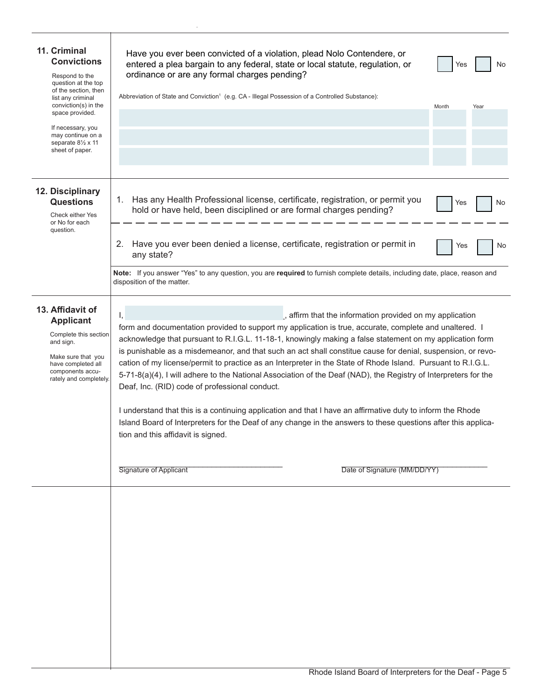| 11. Criminal<br><b>Convictions</b><br>Respond to the<br>question at the top<br>of the section, then<br>list any criminal<br>conviction(s) in the<br>space provided.<br>If necessary, you<br>may continue on a<br>separate 81/2 x 11<br>sheet of paper. | Have you ever been convicted of a violation, plead Nolo Contendere, or<br>entered a plea bargain to any federal, state or local statute, regulation, or<br>No<br>Yes<br>ordinance or are any formal charges pending?<br>Abbreviation of State and Conviction <sup>1</sup> (e.g. CA - Illegal Possession of a Controlled Substance):<br>Month<br>Year                                                                                                                                                                                                                                                                                                                                                                                                                                                                                                                                                                                                                                                                    |
|--------------------------------------------------------------------------------------------------------------------------------------------------------------------------------------------------------------------------------------------------------|-------------------------------------------------------------------------------------------------------------------------------------------------------------------------------------------------------------------------------------------------------------------------------------------------------------------------------------------------------------------------------------------------------------------------------------------------------------------------------------------------------------------------------------------------------------------------------------------------------------------------------------------------------------------------------------------------------------------------------------------------------------------------------------------------------------------------------------------------------------------------------------------------------------------------------------------------------------------------------------------------------------------------|
| 12. Disciplinary<br><b>Questions</b><br>Check either Yes<br>or No for each<br>question.                                                                                                                                                                | Has any Health Professional license, certificate, registration, or permit you<br>1.<br>No<br>Yes<br>hold or have held, been disciplined or are formal charges pending?<br>2.<br>Have you ever been denied a license, certificate, registration or permit in<br>Yes<br>No<br>any state?<br>Note: If you answer "Yes" to any question, you are required to furnish complete details, including date, place, reason and<br>disposition of the matter.                                                                                                                                                                                                                                                                                                                                                                                                                                                                                                                                                                      |
| 13. Affidavit of<br><b>Applicant</b><br>Complete this section<br>and sign.<br>Make sure that you<br>have completed all<br>components accu-<br>rately and completely.                                                                                   | , affirm that the information provided on my application<br>Ι,<br>form and documentation provided to support my application is true, accurate, complete and unaltered. I<br>acknowledge that pursuant to R.I.G.L. 11-18-1, knowingly making a false statement on my application form<br>is punishable as a misdemeanor, and that such an act shall constitue cause for denial, suspension, or revo-<br>cation of my license/permit to practice as an Interpreter in the State of Rhode Island. Pursuant to R.I.G.L.<br>5-71-8(a)(4), I will adhere to the National Association of the Deaf (NAD), the Registry of Interpreters for the<br>Deaf, Inc. (RID) code of professional conduct.<br>I understand that this is a continuing application and that I have an affirmative duty to inform the Rhode<br>Island Board of Interpreters for the Deaf of any change in the answers to these questions after this applica-<br>tion and this affidavit is signed.<br>Signature of Applicant<br>Date of Signature (MM/DD/YY) |
|                                                                                                                                                                                                                                                        |                                                                                                                                                                                                                                                                                                                                                                                                                                                                                                                                                                                                                                                                                                                                                                                                                                                                                                                                                                                                                         |